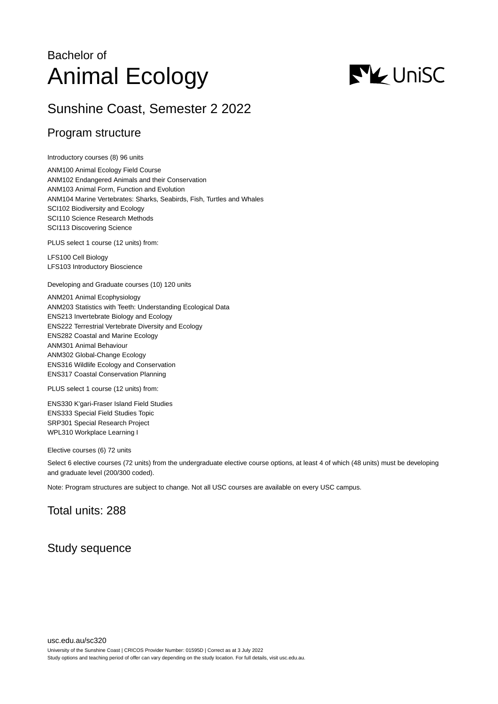# Bachelor of Animal Ecology



## Sunshine Coast, Semester 2 2022

## Program structure

Introductory courses (8) 96 units

ANM100 Animal Ecology Field Course ANM102 Endangered Animals and their Conservation ANM103 Animal Form, Function and Evolution ANM104 Marine Vertebrates: Sharks, Seabirds, Fish, Turtles and Whales SCI102 Biodiversity and Ecology SCI110 Science Research Methods SCI113 Discovering Science

PLUS select 1 course (12 units) from:

LFS100 Cell Biology LFS103 Introductory Bioscience

Developing and Graduate courses (10) 120 units

ANM201 Animal Ecophysiology ANM203 Statistics with Teeth: Understanding Ecological Data ENS213 Invertebrate Biology and Ecology ENS222 Terrestrial Vertebrate Diversity and Ecology ENS282 Coastal and Marine Ecology ANM301 Animal Behaviour ANM302 Global-Change Ecology ENS316 Wildlife Ecology and Conservation ENS317 Coastal Conservation Planning

PLUS select 1 course (12 units) from:

ENS330 K'gari-Fraser Island Field Studies ENS333 Special Field Studies Topic SRP301 Special Research Project WPL310 Workplace Learning I

Elective courses (6) 72 units

Select 6 elective courses (72 units) from the undergraduate elective course options, at least 4 of which (48 units) must be developing and graduate level (200/300 coded).

Note: Program structures are subject to change. Not all USC courses are available on every USC campus.

## Total units: 288

## Study sequence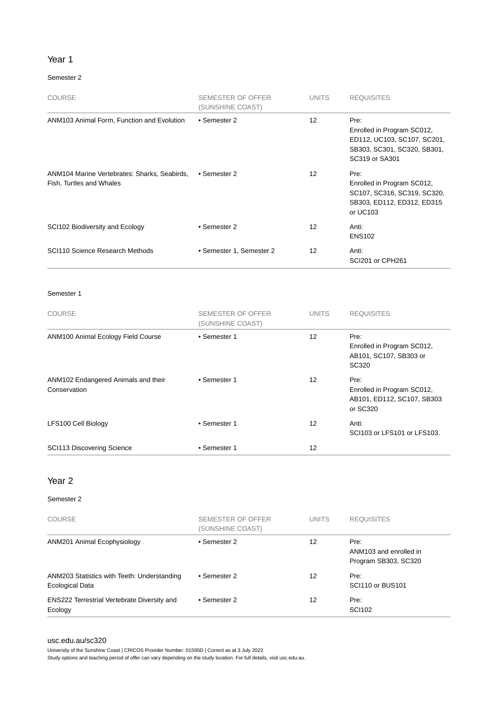#### Year 1

#### Semester 2

| <b>COURSE</b>                                                            | SEMESTER OF OFFER<br>(SUNSHINE COAST) | <b>UNITS</b>      | <b>REQUISITES</b>                                                                                                  |
|--------------------------------------------------------------------------|---------------------------------------|-------------------|--------------------------------------------------------------------------------------------------------------------|
| ANM103 Animal Form, Function and Evolution                               | • Semester 2                          | 12                | Pre:<br>Enrolled in Program SC012,<br>ED112, UC103, SC107, SC201,<br>SB303, SC301, SC320, SB301,<br>SC319 or SA301 |
| ANM104 Marine Vertebrates: Sharks, Seabirds,<br>Fish, Turtles and Whales | • Semester 2                          | $12 \overline{ }$ | Pre:<br>Enrolled in Program SC012,<br>SC107, SC316, SC319, SC320,<br>SB303, ED112, ED312, ED315<br>or UC103        |
| SCI102 Biodiversity and Ecology                                          | • Semester 2                          | 12                | Anti:<br><b>ENS102</b>                                                                                             |
| SCI110 Science Research Methods                                          | • Semester 1, Semester 2              | 12                | Anti:<br>SCI201 or CPH261                                                                                          |

Semester 1

| <b>COURSE</b>                                       | <b>SEMESTER OF OFFER</b><br>(SUNSHINE COAST) | <b>UNITS</b>      | <b>REQUISITES</b>                                                            |
|-----------------------------------------------------|----------------------------------------------|-------------------|------------------------------------------------------------------------------|
| ANM100 Animal Ecology Field Course                  | • Semester 1                                 | $12 \overline{ }$ | Pre:<br>Enrolled in Program SC012,<br>AB101, SC107, SB303 or<br>SC320        |
| ANM102 Endangered Animals and their<br>Conservation | • Semester 1                                 | 12                | Pre:<br>Enrolled in Program SC012,<br>AB101, ED112, SC107, SB303<br>or SC320 |
| LFS100 Cell Biology                                 | • Semester 1                                 | 12                | Anti:<br>SCI103 or LFS101 or LFS103.                                         |
| SCI113 Discovering Science                          | • Semester 1                                 | 12                |                                                                              |

#### Year 2

#### Semester 2

| <b>COURSE</b>                                                  | SEMESTER OF OFFER<br>(SUNSHINE COAST) | <b>UNITS</b> | <b>REQUISITES</b>                                      |
|----------------------------------------------------------------|---------------------------------------|--------------|--------------------------------------------------------|
| ANM201 Animal Ecophysiology                                    | • Semester 2                          | 12           | Pre:<br>ANM103 and enrolled in<br>Program SB303, SC320 |
| ANM203 Statistics with Teeth: Understanding<br>Ecological Data | • Semester 2                          | 12           | Pre:<br>SCI110 or BUS101                               |
| <b>ENS222 Terrestrial Vertebrate Diversity and</b><br>Ecology  | • Semester 2                          | 12           | Pre:<br><b>SCI102</b>                                  |

#### [usc.edu.au/sc320](https://www.usc.edu.au/sc320)

University of the Sunshine Coast | CRICOS Provider Number: 01595D | Correct as at 3 July 2022 Study options and teaching period of offer can vary depending on the study location. For full details, visit usc.edu.au.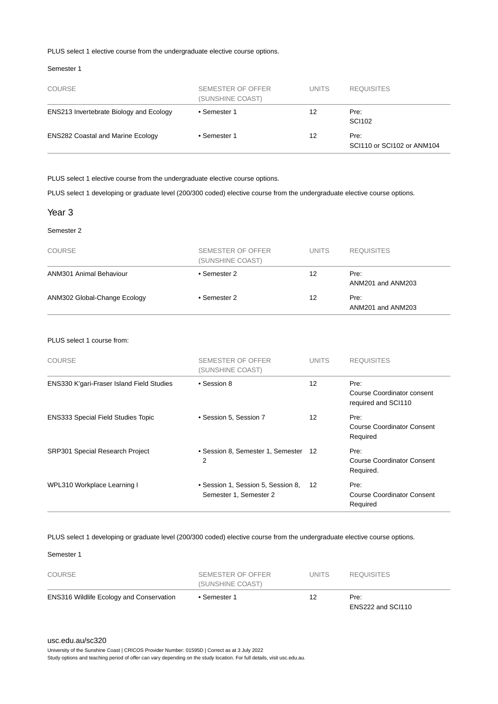#### PLUS select 1 elective course from the undergraduate elective course options.

#### Semester 1

| <b>COURSE</b>                                  | SEMESTER OF OFFER<br>(SUNSHINE COAST) | <b>UNITS</b> | <b>REQUISITES</b>                  |
|------------------------------------------------|---------------------------------------|--------------|------------------------------------|
| <b>ENS213 Invertebrate Biology and Ecology</b> | • Semester 1                          | 12           | Pre:<br>SCI102                     |
| <b>ENS282 Coastal and Marine Ecology</b>       | • Semester 1                          | 12           | Pre:<br>SCI110 or SCI102 or ANM104 |

PLUS select 1 elective course from the undergraduate elective course options.

PLUS select 1 developing or graduate level (200/300 coded) elective course from the undergraduate elective course options.

#### Year 3

Semester 2

| <b>COURSE</b>                | SEMESTER OF OFFER<br>(SUNSHINE COAST) | <b>UNITS</b> | <b>REQUISITES</b>         |
|------------------------------|---------------------------------------|--------------|---------------------------|
| ANM301 Animal Behaviour      | • Semester 2                          | 12           | Pre:<br>ANM201 and ANM203 |
| ANM302 Global-Change Ecology | • Semester 2                          | 12           | Pre:<br>ANM201 and ANM203 |

#### PLUS select 1 course from:

| <b>COURSE</b>                             | SEMESTER OF OFFER<br>(SUNSHINE COAST)                        | <b>UNITS</b> | <b>REQUISITES</b>                                         |
|-------------------------------------------|--------------------------------------------------------------|--------------|-----------------------------------------------------------|
| ENS330 K'gari-Fraser Island Field Studies | • Session 8                                                  | 12           | Pre:<br>Course Coordinator consent<br>required and SCI110 |
| <b>ENS333 Special Field Studies Topic</b> | • Session 5, Session 7                                       | 12           | Pre:<br>Course Coordinator Consent<br>Required            |
| <b>SRP301 Special Research Project</b>    | • Session 8, Semester 1, Semester<br>2                       | 12           | Pre:<br><b>Course Coordinator Consent</b><br>Required.    |
| WPL310 Workplace Learning I               | • Session 1, Session 5, Session 8,<br>Semester 1, Semester 2 | 12           | Pre:<br><b>Course Coordinator Consent</b><br>Required     |

PLUS select 1 developing or graduate level (200/300 coded) elective course from the undergraduate elective course options.

#### Semester 1

| <b>ENS316 Wildlife Ecology and Conservation</b> | • Semester 1                          | 12           | Pre:              |  |
|-------------------------------------------------|---------------------------------------|--------------|-------------------|--|
| <b>COURSE</b>                                   | SEMESTER OF OFFER<br>(SUNSHINE COAST) | <b>UNITS</b> | <b>REQUISITES</b> |  |

University of the Sunshine Coast | CRICOS Provider Number: 01595D | Correct as at 3 July 2022

Study options and teaching period of offer can vary depending on the study location. For full details, visit usc.edu.au.